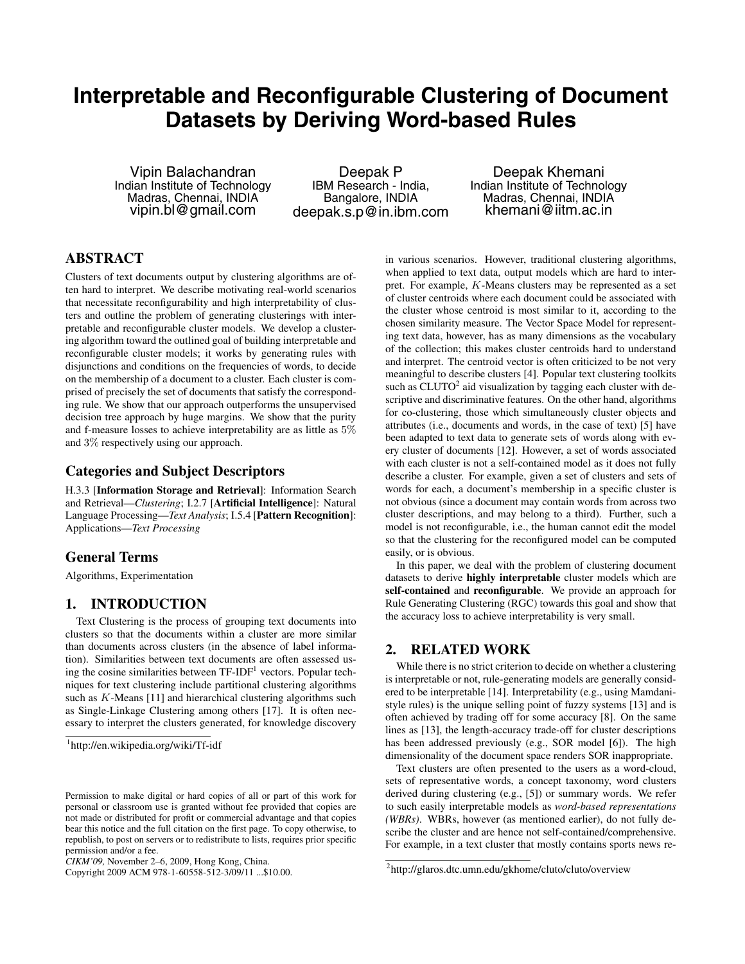# **Interpretable and Reconfigurable Clustering of Document Datasets by Deriving Word-based Rules**

Vipin Balachandran Indian Institute of Technology Madras, Chennai, INDIA vipin.bl@gmail.com

Deepak P IBM Research - India, Bangalore, INDIA deepak.s.p@in.ibm.com

Deepak Khemani Indian Institute of Technology Madras, Chennai, INDIA khemani@iitm.ac.in

# **ABSTRACT**

Clusters of text documents output by clustering algorithms are often hard to interpret. We describe motivating real-world scenarios that necessitate reconfigurability and high interpretability of clusters and outline the problem of generating clusterings with interpretable and reconfigurable cluster models. We develop a clustering algorithm toward the outlined goal of building interpretable and reconfigurable cluster models; it works by generating rules with disjunctions and conditions on the frequencies of words, to decide on the membership of a document to a cluster. Each cluster is comprised of precisely the set of documents that satisfy the corresponding rule. We show that our approach outperforms the unsupervised decision tree approach by huge margins. We show that the purity and f-measure losses to achieve interpretability are as little as 5% and 3% respectively using our approach.

# **Categories and Subject Descriptors**

H.3.3 [**Information Storage and Retrieval**]: Information Search and Retrieval—*Clustering*; I.2.7 [**Artificial Intelligence**]: Natural Language Processing—*Text Analysis*; I.5.4 [**Pattern Recognition**]: Applications—*Text Processing*

# **General Terms**

Algorithms, Experimentation

# **1. INTRODUCTION**

Text Clustering is the process of grouping text documents into clusters so that the documents within a cluster are more similar than documents across clusters (in the absence of label information). Similarities between text documents are often assessed using the cosine similarities between  $TF-IDF<sup>1</sup>$  vectors. Popular techniques for text clustering include partitional clustering algorithms such as  $K$ -Means [11] and hierarchical clustering algorithms such as Single-Linkage Clustering among others [17]. It is often necessary to interpret the clusters generated, for knowledge discovery

Copyright 2009 ACM 978-1-60558-512-3/09/11 ...\$10.00.

in various scenarios. However, traditional clustering algorithms, when applied to text data, output models which are hard to interpret. For example, K-Means clusters may be represented as a set of cluster centroids where each document could be associated with the cluster whose centroid is most similar to it, according to the chosen similarity measure. The Vector Space Model for representing text data, however, has as many dimensions as the vocabulary of the collection; this makes cluster centroids hard to understand and interpret. The centroid vector is often criticized to be not very meaningful to describe clusters [4]. Popular text clustering toolkits such as  $CLUTO<sup>2</sup>$  aid visualization by tagging each cluster with descriptive and discriminative features. On the other hand, algorithms for co-clustering, those which simultaneously cluster objects and attributes (i.e., documents and words, in the case of text) [5] have been adapted to text data to generate sets of words along with every cluster of documents [12]. However, a set of words associated with each cluster is not a self-contained model as it does not fully describe a cluster. For example, given a set of clusters and sets of words for each, a document's membership in a specific cluster is not obvious (since a document may contain words from across two cluster descriptions, and may belong to a third). Further, such a model is not reconfigurable, i.e., the human cannot edit the model so that the clustering for the reconfigured model can be computed easily, or is obvious.

In this paper, we deal with the problem of clustering document datasets to derive **highly interpretable** cluster models which are **self-contained** and **reconfigurable**. We provide an approach for Rule Generating Clustering (RGC) towards this goal and show that the accuracy loss to achieve interpretability is very small.

# **2. RELATED WORK**

While there is no strict criterion to decide on whether a clustering is interpretable or not, rule-generating models are generally considered to be interpretable [14]. Interpretability (e.g., using Mamdanistyle rules) is the unique selling point of fuzzy systems [13] and is often achieved by trading off for some accuracy [8]. On the same lines as [13], the length-accuracy trade-off for cluster descriptions has been addressed previously (e.g., SOR model [6]). The high dimensionality of the document space renders SOR inappropriate.

Text clusters are often presented to the users as a word-cloud, sets of representative words, a concept taxonomy, word clusters derived during clustering (e.g., [5]) or summary words. We refer to such easily interpretable models as *word-based representations (WBRs)*. WBRs, however (as mentioned earlier), do not fully describe the cluster and are hence not self-contained/comprehensive. For example, in a text cluster that mostly contains sports news re-

<sup>1</sup> http://en.wikipedia.org/wiki/Tf-idf

Permission to make digital or hard copies of all or part of this work for personal or classroom use is granted without fee provided that copies are not made or distributed for profit or commercial advantage and that copies bear this notice and the full citation on the first page. To copy otherwise, to republish, to post on servers or to redistribute to lists, requires prior specific permission and/or a fee.

*CIKM'09,* November 2–6, 2009, Hong Kong, China.

<sup>&</sup>lt;sup>2</sup>http://glaros.dtc.umn.edu/gkhome/cluto/cluto/overview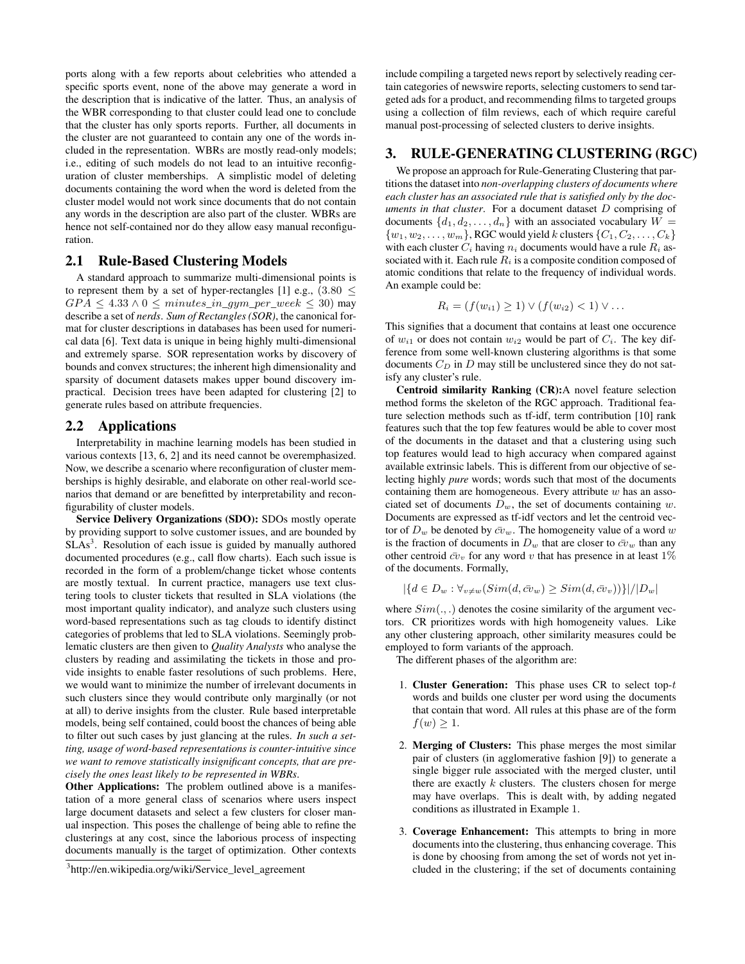ports along with a few reports about celebrities who attended a specific sports event, none of the above may generate a word in the description that is indicative of the latter. Thus, an analysis of the WBR corresponding to that cluster could lead one to conclude that the cluster has only sports reports. Further, all documents in the cluster are not guaranteed to contain any one of the words included in the representation. WBRs are mostly read-only models; i.e., editing of such models do not lead to an intuitive reconfiguration of cluster memberships. A simplistic model of deleting documents containing the word when the word is deleted from the cluster model would not work since documents that do not contain any words in the description are also part of the cluster. WBRs are hence not self-contained nor do they allow easy manual reconfiguration.

# **2.1 Rule-Based Clustering Models**

A standard approach to summarize multi-dimensional points is to represent them by a set of hyper-rectangles [1] e.g.,  $(3.80 \le$  $GPA \leq 4.33 \wedge 0 \leq minutes\_in\_gym\_per\_week \leq 30$  may describe a set of *nerds*. *Sum of Rectangles (SOR)*, the canonical format for cluster descriptions in databases has been used for numerical data [6]. Text data is unique in being highly multi-dimensional and extremely sparse. SOR representation works by discovery of bounds and convex structures; the inherent high dimensionality and sparsity of document datasets makes upper bound discovery impractical. Decision trees have been adapted for clustering [2] to generate rules based on attribute frequencies.

#### **2.2 Applications**

Interpretability in machine learning models has been studied in various contexts [13, 6, 2] and its need cannot be overemphasized. Now, we describe a scenario where reconfiguration of cluster memberships is highly desirable, and elaborate on other real-world scenarios that demand or are benefitted by interpretability and reconfigurability of cluster models.

**Service Delivery Organizations (SDO):** SDOs mostly operate by providing support to solve customer issues, and are bounded by SLAs<sup>3</sup>. Resolution of each issue is guided by manually authored documented procedures (e.g., call flow charts). Each such issue is recorded in the form of a problem/change ticket whose contents are mostly textual. In current practice, managers use text clustering tools to cluster tickets that resulted in SLA violations (the most important quality indicator), and analyze such clusters using word-based representations such as tag clouds to identify distinct categories of problems that led to SLA violations. Seemingly problematic clusters are then given to *Quality Analysts* who analyse the clusters by reading and assimilating the tickets in those and provide insights to enable faster resolutions of such problems. Here, we would want to minimize the number of irrelevant documents in such clusters since they would contribute only marginally (or not at all) to derive insights from the cluster. Rule based interpretable models, being self contained, could boost the chances of being able to filter out such cases by just glancing at the rules. *In such a setting, usage of word-based representations is counter-intuitive since we want to remove statistically insignificant concepts, that are precisely the ones least likely to be represented in WBRs*.

**Other Applications:** The problem outlined above is a manifestation of a more general class of scenarios where users inspect large document datasets and select a few clusters for closer manual inspection. This poses the challenge of being able to refine the clusterings at any cost, since the laborious process of inspecting documents manually is the target of optimization. Other contexts

include compiling a targeted news report by selectively reading certain categories of newswire reports, selecting customers to send targeted ads for a product, and recommending films to targeted groups using a collection of film reviews, each of which require careful manual post-processing of selected clusters to derive insights.

# **3. RULE-GENERATING CLUSTERING (RGC)**

We propose an approach for Rule-Generating Clustering that partitions the dataset into *non-overlapping clusters of documents where each cluster has an associated rule that is satisfied only by the documents in that cluster*. For a document dataset D comprising of documents  $\{d_1, d_2, \ldots, d_n\}$  with an associated vocabulary  $W =$  $\{w_1, w_2, \ldots, w_m\}$ , RGC would yield k clusters  $\{C_1, C_2, \ldots, C_k\}$ with each cluster  $C_i$  having  $n_i$  documents would have a rule  $R_i$  associated with it. Each rule  $R_i$  is a composite condition composed of atomic conditions that relate to the frequency of individual words. An example could be:

$$
R_i = (f(w_{i1}) \ge 1) \vee (f(w_{i2}) < 1) \vee \dots
$$

This signifies that a document that contains at least one occurence of  $w_{i1}$  or does not contain  $w_{i2}$  would be part of  $C_i$ . The key difference from some well-known clustering algorithms is that some documents  $C_D$  in  $D$  may still be unclustered since they do not satisfy any cluster's rule.

**Centroid similarity Ranking (CR):**A novel feature selection method forms the skeleton of the RGC approach. Traditional feature selection methods such as tf-idf, term contribution [10] rank features such that the top few features would be able to cover most of the documents in the dataset and that a clustering using such top features would lead to high accuracy when compared against available extrinsic labels. This is different from our objective of selecting highly *pure* words; words such that most of the documents containing them are homogeneous. Every attribute  $w$  has an associated set of documents  $D_w$ , the set of documents containing w. Documents are expressed as tf-idf vectors and let the centroid vector of  $D_w$  be denoted by  $\bar{cv}_w$ . The homogeneity value of a word w is the fraction of documents in  $D_w$  that are closer to  $\bar{cv}_w$  than any other centroid  $\bar{c}v_v$  for any word v that has presence in at least 1% of the documents. Formally,

$$
|\{d \in D_w : \forall_{v \neq w} (Sim(d, \bar{c}v_w) \geq Sim(d, \bar{c}v_v))\}| / |D_w|
$$

where  $Sim(.,.)$  denotes the cosine similarity of the argument vectors. CR prioritizes words with high homogeneity values. Like any other clustering approach, other similarity measures could be employed to form variants of the approach.

The different phases of the algorithm are:

- 1. **Cluster Generation:** This phase uses CR to select top-t words and builds one cluster per word using the documents that contain that word. All rules at this phase are of the form  $f(w) \geq 1$ .
- 2. **Merging of Clusters:** This phase merges the most similar pair of clusters (in agglomerative fashion [9]) to generate a single bigger rule associated with the merged cluster, until there are exactly  $k$  clusters. The clusters chosen for merge may have overlaps. This is dealt with, by adding negated conditions as illustrated in Example 1.
- 3. **Coverage Enhancement:** This attempts to bring in more documents into the clustering, thus enhancing coverage. This is done by choosing from among the set of words not yet included in the clustering; if the set of documents containing

<sup>&</sup>lt;sup>3</sup>http://en.wikipedia.org/wiki/Service\_level\_agreement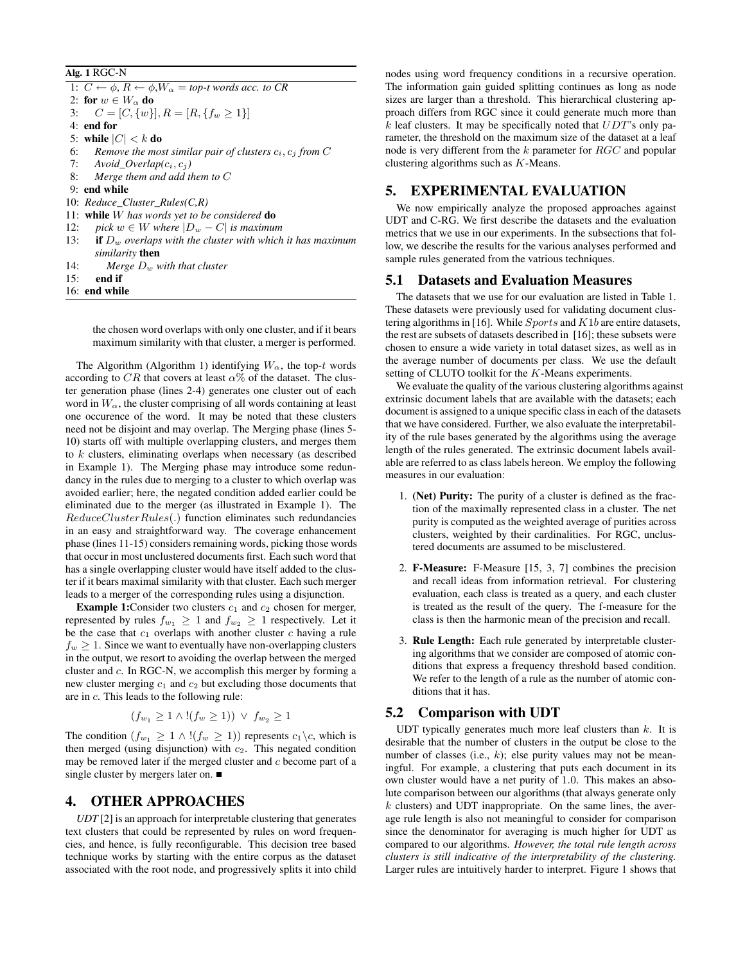#### **Alg. 1** RGC-N

1:  $C \leftarrow \phi, R \leftarrow \phi, W_{\alpha} = \text{top-t words } \text{acc. to } CR$ 2: **for**  $w \in W_\alpha$  **do** 3:  $C = [C, \{w\}], R = [R, \{f_w \ge 1\}]$ 4: **end for** 5: while  $|C| < k$  do 6: *Remove the most similar pair of clusters*  $c_i$ ,  $c_j$  *from*  $C$ 7:  $Avoid\_Overlap(c_i, c_j)$ 8: *Merge them and add them to* C 9: **end while** 10: *Reduce\_Cluster\_Rules(C,R)* 11: **while** W *has words yet to be considered* **do** 12: *pick*  $w \in W$  *where*  $|D_w - C|$  *is maximum* 13: **if** D<sup>w</sup> *overlaps with the cluster with which it has maximum similarity* **then** 14: *Merge* D<sup>w</sup> *with that cluster* 15: **end if** 16: **end while**

the chosen word overlaps with only one cluster, and if it bears maximum similarity with that cluster, a merger is performed.

The Algorithm (Algorithm 1) identifying  $W_{\alpha}$ , the top-t words according to CR that covers at least  $\alpha$ % of the dataset. The cluster generation phase (lines 2-4) generates one cluster out of each word in  $W_{\alpha}$ , the cluster comprising of all words containing at least one occurence of the word. It may be noted that these clusters need not be disjoint and may overlap. The Merging phase (lines 5- 10) starts off with multiple overlapping clusters, and merges them to  $k$  clusters, eliminating overlaps when necessary (as described in Example 1). The Merging phase may introduce some redundancy in the rules due to merging to a cluster to which overlap was avoided earlier; here, the negated condition added earlier could be eliminated due to the merger (as illustrated in Example 1). The  $ReduceClusterRules(.)$  function eliminates such redundancies in an easy and straightforward way. The coverage enhancement phase (lines 11-15) considers remaining words, picking those words that occur in most unclustered documents first. Each such word that has a single overlapping cluster would have itself added to the cluster if it bears maximal similarity with that cluster. Each such merger leads to a merger of the corresponding rules using a disjunction.

**Example 1:** Consider two clusters  $c_1$  and  $c_2$  chosen for merger, represented by rules  $f_{w_1} \geq 1$  and  $f_{w_2} \geq 1$  respectively. Let it be the case that  $c_1$  overlaps with another cluster c having a rule  $f_w > 1$ . Since we want to eventually have non-overlapping clusters in the output, we resort to avoiding the overlap between the merged cluster and c. In RGC-N, we accomplish this merger by forming a new cluster merging  $c_1$  and  $c_2$  but excluding those documents that are in c. This leads to the following rule:

$$
(f_{w_1} \ge 1 \land \{(f_w \ge 1)) \lor f_{w_2} \ge 1
$$

The condition  $(f_{w_1} \geq 1 \wedge f(x \geq 1))$  represents  $c_1 \backslash c$ , which is then merged (using disjunction) with  $c_2$ . This negated condition may be removed later if the merged cluster and  $c$  become part of a single cluster by mergers later on.

# **4. OTHER APPROACHES**

*UDT* [2] is an approach for interpretable clustering that generates text clusters that could be represented by rules on word frequencies, and hence, is fully reconfigurable. This decision tree based technique works by starting with the entire corpus as the dataset associated with the root node, and progressively splits it into child nodes using word frequency conditions in a recursive operation. The information gain guided splitting continues as long as node sizes are larger than a threshold. This hierarchical clustering approach differs from RGC since it could generate much more than k leaf clusters. It may be specifically noted that  $UDT$ 's only parameter, the threshold on the maximum size of the dataset at a leaf node is very different from the  $k$  parameter for  $RGC$  and popular clustering algorithms such as K-Means.

# **5. EXPERIMENTAL EVALUATION**

We now empirically analyze the proposed approaches against UDT and C-RG. We first describe the datasets and the evaluation metrics that we use in our experiments. In the subsections that follow, we describe the results for the various analyses performed and sample rules generated from the vatrious techniques.

## **5.1 Datasets and Evaluation Measures**

The datasets that we use for our evaluation are listed in Table 1. These datasets were previously used for validating document clustering algorithms in [16]. While  $Sports$  and  $K1b$  are entire datasets, the rest are subsets of datasets described in [16]; these subsets were chosen to ensure a wide variety in total dataset sizes, as well as in the average number of documents per class. We use the default setting of CLUTO toolkit for the K-Means experiments.

We evaluate the quality of the various clustering algorithms against extrinsic document labels that are available with the datasets; each document is assigned to a unique specific class in each of the datasets that we have considered. Further, we also evaluate the interpretability of the rule bases generated by the algorithms using the average length of the rules generated. The extrinsic document labels available are referred to as class labels hereon. We employ the following measures in our evaluation:

- 1. **(Net) Purity:** The purity of a cluster is defined as the fraction of the maximally represented class in a cluster. The net purity is computed as the weighted average of purities across clusters, weighted by their cardinalities. For RGC, unclustered documents are assumed to be misclustered.
- 2. **F-Measure:** F-Measure [15, 3, 7] combines the precision and recall ideas from information retrieval. For clustering evaluation, each class is treated as a query, and each cluster is treated as the result of the query. The f-measure for the class is then the harmonic mean of the precision and recall.
- 3. **Rule Length:** Each rule generated by interpretable clustering algorithms that we consider are composed of atomic conditions that express a frequency threshold based condition. We refer to the length of a rule as the number of atomic conditions that it has.

## **5.2 Comparison with UDT**

UDT typically generates much more leaf clusters than  $k$ . It is desirable that the number of clusters in the output be close to the number of classes (i.e.,  $k$ ); else purity values may not be meaningful. For example, a clustering that puts each document in its own cluster would have a net purity of 1.0. This makes an absolute comparison between our algorithms (that always generate only  $k$  clusters) and UDT inappropriate. On the same lines, the average rule length is also not meaningful to consider for comparison since the denominator for averaging is much higher for UDT as compared to our algorithms. *However, the total rule length across clusters is still indicative of the interpretability of the clustering.* Larger rules are intuitively harder to interpret. Figure 1 shows that